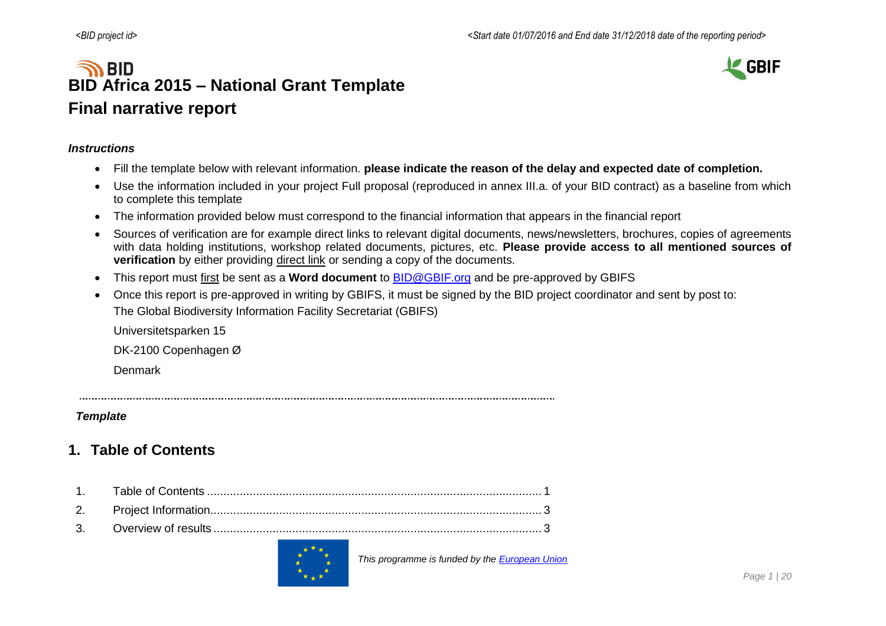# **SO BID BID Africa 2015 – National Grant Template Final narrative report**



#### *Instructions*

- Fill the template below with relevant information. **please indicate the reason of the delay and expected date of completion.**
- Use the information included in your project Full proposal (reproduced in annex III.a. of your BID contract) as a baseline from which to complete this template
- The information provided below must correspond to the financial information that appears in the financial report
- Sources of verification are for example direct links to relevant digital documents, news/newsletters, brochures, copies of agreements with data holding institutions, workshop related documents, pictures, etc. **Please provide access to all mentioned sources of verification** by either providing direct link or sending a copy of the documents.
- This report must first be sent as a **Word document** to [BID@GBIF.org](mailto:BID@GBIF.org) and be pre-approved by GBIFS
- Once this report is pre-approved in writing by GBIFS, it must be signed by the BID project coordinator and sent by post to: The Global Biodiversity Information Facility Secretariat (GBIFS)

Universitetsparken 15

DK-2100 Copenhagen Ø

Denmark

#### *Template*

### <span id="page-0-0"></span>**1. Table of Contents**



 *This programme is funded by the [European Union](http://europa.eu/)*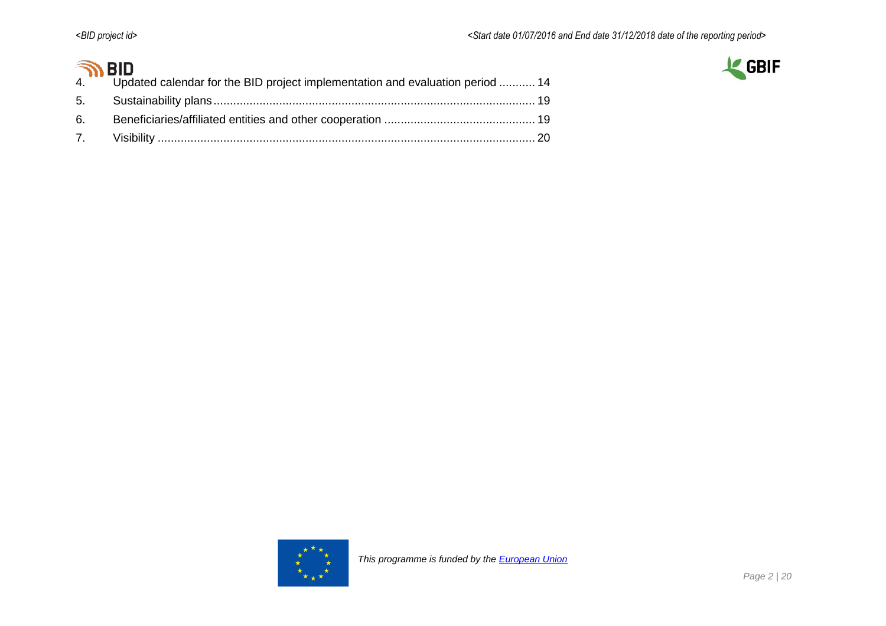# $\widehat{\mathbb{R}}$  RID



| .   |                                                                                  |  |
|-----|----------------------------------------------------------------------------------|--|
|     | 4. Updated calendar for the BID project implementation and evaluation period  14 |  |
|     |                                                                                  |  |
| .6. |                                                                                  |  |
|     |                                                                                  |  |

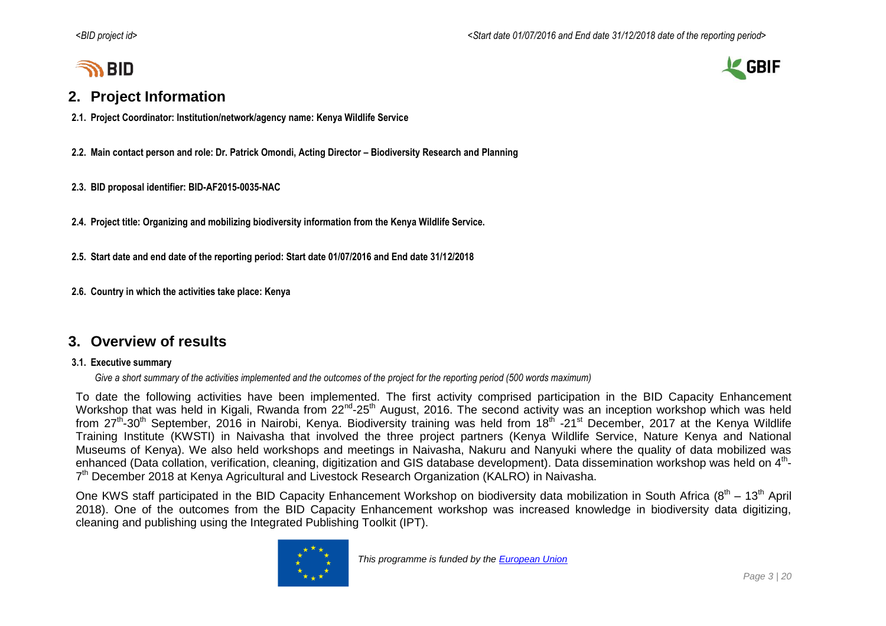# **SO BID**

### <span id="page-2-0"></span>**2. Project Information**

- **2.1. Project Coordinator: Institution/network/agency name: Kenya Wildlife Service**
- **2.2. Main contact person and role: Dr. Patrick Omondi, Acting Director – Biodiversity Research and Planning**
- **2.3. BID proposal identifier: BID-AF2015-0035-NAC**
- **2.4. Project title: Organizing and mobilizing biodiversity information from the Kenya Wildlife Service.**
- **2.5. Start date and end date of the reporting period: Start date 01/07/2016 and End date 31/12/2018**
- **2.6. Country in which the activities take place: Kenya**

### <span id="page-2-1"></span>**3. Overview of results**

#### **3.1. Executive summary**

*Give a short summary of the activities implemented and the outcomes of the project for the reporting period (500 words maximum)*

To date the following activities have been implemented. The first activity comprised participation in the BID Capacity Enhancement Workshop that was held in Kigali, Rwanda from 22<sup>nd</sup>-25<sup>th</sup> August, 2016. The second activity was an inception workshop which was held from 27<sup>th</sup>-30<sup>th</sup> September, 2016 in Nairobi, Kenya. Biodiversity training was held from 18<sup>th</sup> -21<sup>st</sup> December, 2017 at the Kenya Wildlife Training Institute (KWSTI) in Naivasha that involved the three project partners (Kenya Wildlife Service, Nature Kenya and National Museums of Kenya). We also held workshops and meetings in Naivasha, Nakuru and Nanyuki where the quality of data mobilized was enhanced (Data collation, verification, cleaning, digitization and GIS database development). Data dissemination workshop was held on 4<sup>th</sup>-7<sup>th</sup> December 2018 at Kenya Agricultural and Livestock Research Organization (KALRO) in Naivasha.

One KWS staff participated in the BID Capacity Enhancement Workshop on biodiversity data mobilization in South Africa (8<sup>th</sup> – 13<sup>th</sup> April 2018). One of the outcomes from the BID Capacity Enhancement workshop was increased knowledge in biodiversity data digitizing, cleaning and publishing using the Integrated Publishing Toolkit (IPT).



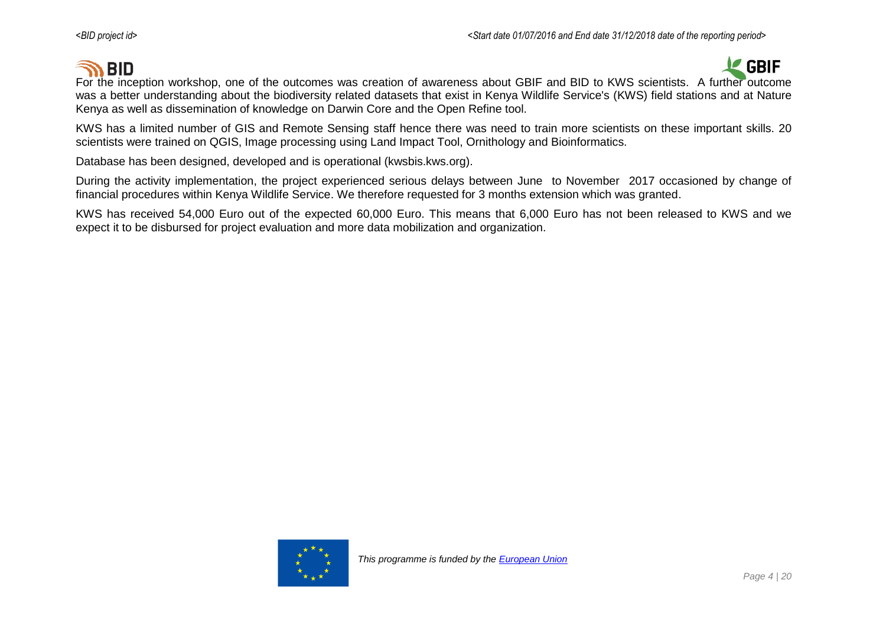# **SO BID**



For the inception workshop, one of the outcomes was creation of awareness about GBIF and BID to KWS scientists. A further outcome was a better understanding about the biodiversity related datasets that exist in Kenya Wildlife Service's (KWS) field stations and at Nature Kenya as well as dissemination of knowledge on Darwin Core and the Open Refine tool.

KWS has a limited number of GIS and Remote Sensing staff hence there was need to train more scientists on these important skills. 20 scientists were trained on QGIS, Image processing using Land Impact Tool, Ornithology and Bioinformatics.

Database has been designed, developed and is operational (kwsbis.kws.org).

During the activity implementation, the project experienced serious delays between June to November 2017 occasioned by change of financial procedures within Kenya Wildlife Service. We therefore requested for 3 months extension which was granted.

KWS has received 54,000 Euro out of the expected 60,000 Euro. This means that 6,000 Euro has not been released to KWS and we expect it to be disbursed for project evaluation and more data mobilization and organization.

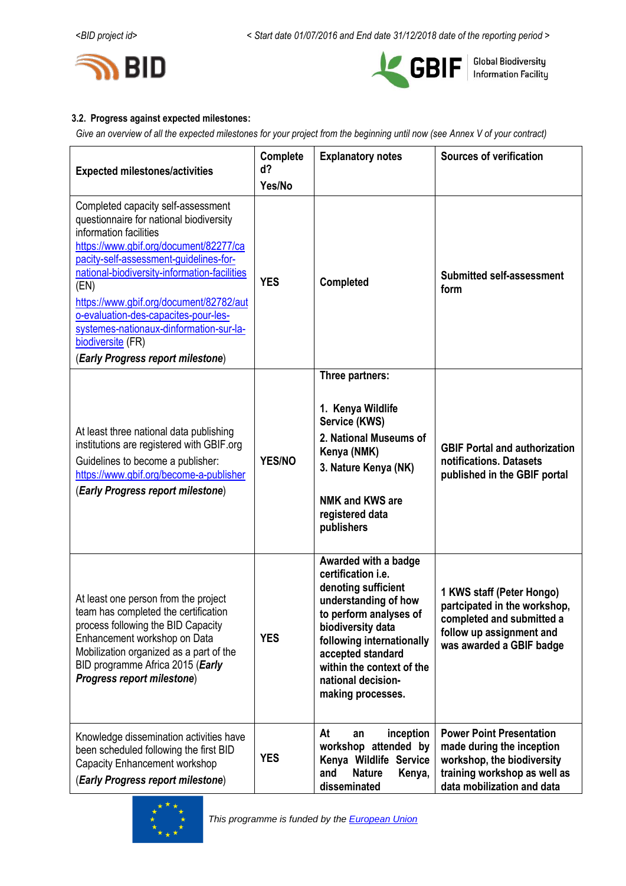



#### **3.2. Progress against expected milestones:**

*Give an overview of all the expected milestones for your project from the beginning until now (see Annex V of your contract)*

| <b>Expected milestones/activities</b>                                                                                                                                                                                                                                                                                                                                                                                                       | Complete<br>d?<br>Yes/No | <b>Explanatory notes</b>                                                                                                                                                                                                                                           | <b>Sources of verification</b>                                                                                                                           |
|---------------------------------------------------------------------------------------------------------------------------------------------------------------------------------------------------------------------------------------------------------------------------------------------------------------------------------------------------------------------------------------------------------------------------------------------|--------------------------|--------------------------------------------------------------------------------------------------------------------------------------------------------------------------------------------------------------------------------------------------------------------|----------------------------------------------------------------------------------------------------------------------------------------------------------|
| Completed capacity self-assessment<br>questionnaire for national biodiversity<br>information facilities<br>https://www.gbif.org/document/82277/ca<br>pacity-self-assessment-guidelines-for-<br>national-biodiversity-information-facilities<br>(EN)<br>https://www.gbif.org/document/82782/aut<br>o-evaluation-des-capacites-pour-les-<br>systemes-nationaux-dinformation-sur-la-<br>biodiversite (FR)<br>(Early Progress report milestone) | <b>YES</b>               | Completed                                                                                                                                                                                                                                                          | <b>Submitted self-assessment</b><br>form                                                                                                                 |
| At least three national data publishing<br>institutions are registered with GBIF.org<br>Guidelines to become a publisher:<br>https://www.gbif.org/become-a-publisher<br>(Early Progress report milestone)                                                                                                                                                                                                                                   | <b>YES/NO</b>            | Three partners:<br>1. Kenya Wildlife<br>Service (KWS)<br>2. National Museums of<br>Kenya (NMK)<br>3. Nature Kenya (NK)<br><b>NMK and KWS are</b><br>registered data<br>publishers                                                                                  | <b>GBIF Portal and authorization</b><br>notifications. Datasets<br>published in the GBIF portal                                                          |
| At least one person from the project<br>team has completed the certification<br>process following the BID Capacity<br>Enhancement workshop on Data<br>Mobilization organized as a part of the<br>BID programme Africa 2015 (Early<br>Progress report milestone)                                                                                                                                                                             | <b>YES</b>               | Awarded with a badge<br>certification i.e.<br>denoting sufficient<br>understanding of how<br>to perform analyses of<br>biodiversity data<br>following internationally<br>accepted standard<br>within the context of the<br>national decision-<br>making processes. | 1 KWS staff (Peter Hongo)<br>partcipated in the workshop,<br>completed and submitted a<br>follow up assignment and<br>was awarded a GBIF badge           |
| Knowledge dissemination activities have<br>been scheduled following the first BID<br>Capacity Enhancement workshop<br>(Early Progress report milestone)                                                                                                                                                                                                                                                                                     | <b>YES</b>               | inception<br>At<br>an<br>workshop attended by<br>Kenya Wildlife Service<br><b>Nature</b><br>Kenya,<br>and<br>disseminated                                                                                                                                          | <b>Power Point Presentation</b><br>made during the inception<br>workshop, the biodiversity<br>training workshop as well as<br>data mobilization and data |

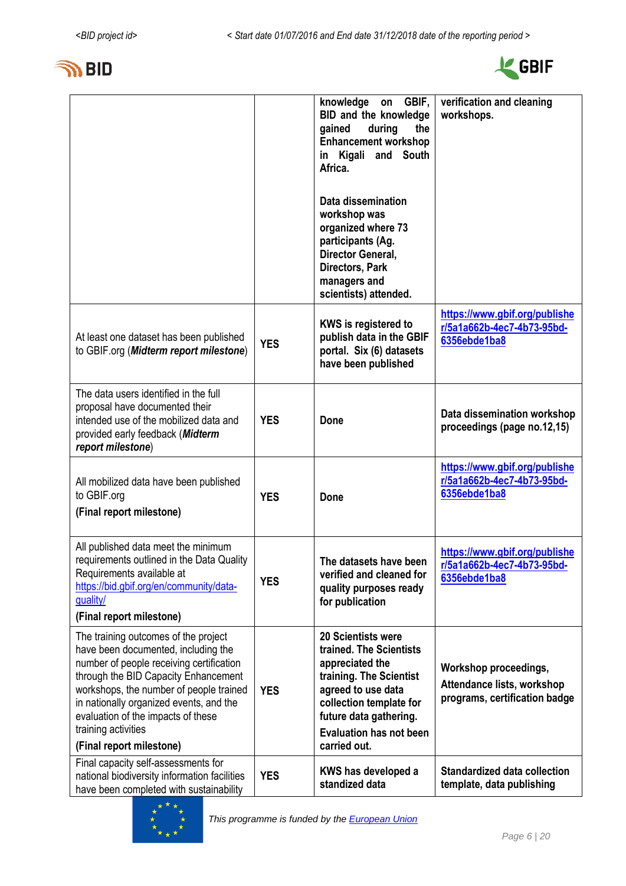



|                                                                                                                                                                                                                                                                                                                                                |            | knowledge<br>GBIF,<br>on<br>BID and the knowledge<br>during<br>gained<br>the<br><b>Enhancement workshop</b><br>in Kigali and South<br>Africa.<br>Data dissemination<br>workshop was<br>organized where 73<br>participants (Ag.<br>Director General,<br>Directors, Park<br>managers and<br>scientists) attended. | verification and cleaning<br>workshops.                                              |
|------------------------------------------------------------------------------------------------------------------------------------------------------------------------------------------------------------------------------------------------------------------------------------------------------------------------------------------------|------------|-----------------------------------------------------------------------------------------------------------------------------------------------------------------------------------------------------------------------------------------------------------------------------------------------------------------|--------------------------------------------------------------------------------------|
| At least one dataset has been published<br>to GBIF.org (Midterm report milestone)                                                                                                                                                                                                                                                              | <b>YES</b> | <b>KWS is registered to</b><br>publish data in the GBIF<br>portal. Six (6) datasets<br>have been published                                                                                                                                                                                                      | https://www.gbif.org/publishe<br>r/5a1a662b-4ec7-4b73-95bd-<br>6356ebde1ba8          |
| The data users identified in the full<br>proposal have documented their<br>intended use of the mobilized data and<br>provided early feedback (Midterm<br>report milestone)                                                                                                                                                                     | <b>YES</b> | <b>Done</b>                                                                                                                                                                                                                                                                                                     | Data dissemination workshop<br>proceedings (page no.12,15)                           |
| All mobilized data have been published<br>to GBIF.org<br>(Final report milestone)                                                                                                                                                                                                                                                              | <b>YES</b> | <b>Done</b>                                                                                                                                                                                                                                                                                                     | https://www.gbif.org/publishe<br>r/5a1a662b-4ec7-4b73-95bd-<br>6356ebde1ba8          |
| All published data meet the minimum<br>requirements outlined in the Data Quality<br>Requirements available at<br>https://bid.gbif.org/en/community/data-<br>quality/<br>(Final report milestone)                                                                                                                                               | <b>YES</b> | The datasets have been<br>verified and cleaned for<br>quality purposes ready<br>for publication                                                                                                                                                                                                                 | https://www.gbif.org/publishe<br>r/5a1a662b-4ec7-4b73-95bd-<br>6356ebde1ba8          |
| The training outcomes of the project<br>have been documented, including the<br>number of people receiving certification<br>through the BID Capacity Enhancement<br>workshops, the number of people trained<br>in nationally organized events, and the<br>evaluation of the impacts of these<br>training activities<br>(Final report milestone) | <b>YES</b> | <b>20 Scientists were</b><br>trained. The Scientists<br>appreciated the<br>training. The Scientist<br>agreed to use data<br>collection template for<br>future data gathering.<br><b>Evaluation has not been</b><br>carried out.                                                                                 | Workshop proceedings,<br>Attendance lists, workshop<br>programs, certification badge |
| Final capacity self-assessments for<br>national biodiversity information facilities<br>have been completed with sustainability                                                                                                                                                                                                                 | <b>YES</b> | KWS has developed a<br>standized data                                                                                                                                                                                                                                                                           | Standardized data collection<br>template, data publishing                            |

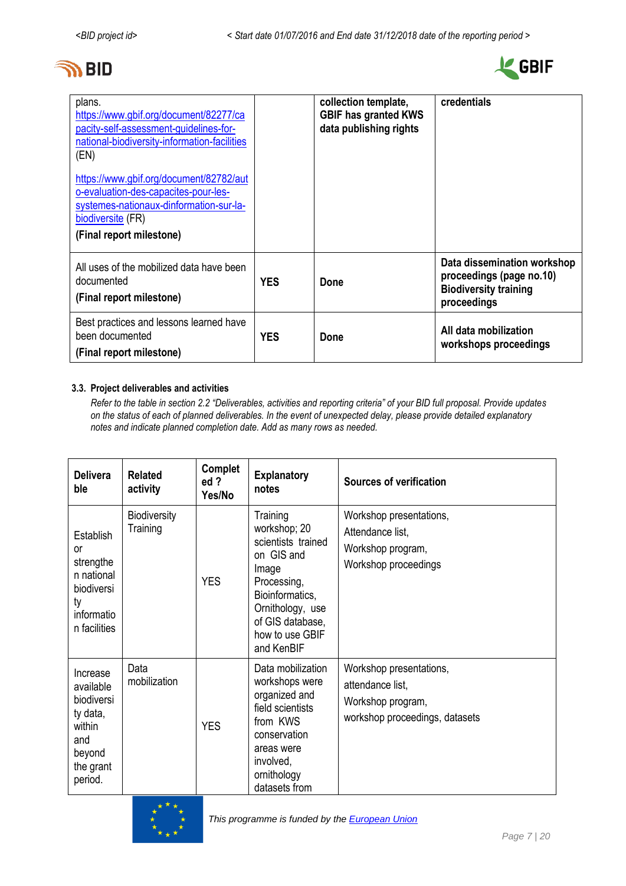# **জী** BID



| plans.<br>https://www.gbif.org/document/82277/ca<br>pacity-self-assessment-quidelines-for-<br>national-biodiversity-information-facilities<br>(EN)<br>https://www.gbif.org/document/82782/aut<br>o-evaluation-des-capacites-pour-les-<br>systemes-nationaux-dinformation-sur-la-<br>biodiversite (FR)<br>(Final report milestone) |            | collection template,<br><b>GBIF has granted KWS</b><br>data publishing rights | credentials                                                                                            |
|-----------------------------------------------------------------------------------------------------------------------------------------------------------------------------------------------------------------------------------------------------------------------------------------------------------------------------------|------------|-------------------------------------------------------------------------------|--------------------------------------------------------------------------------------------------------|
| All uses of the mobilized data have been<br>documented<br>(Final report milestone)                                                                                                                                                                                                                                                | <b>YES</b> | Done                                                                          | Data dissemination workshop<br>proceedings (page no.10)<br><b>Biodiversity training</b><br>proceedings |
| Best practices and lessons learned have<br>been documented<br>(Final report milestone)                                                                                                                                                                                                                                            | <b>YES</b> | Done                                                                          | All data mobilization<br>workshops proceedings                                                         |

#### **3.3. Project deliverables and activities**

*Refer to the table in section 2.2 "Deliverables, activities and reporting criteria" of your BID full proposal. Provide updates on the status of each of planned deliverables. In the event of unexpected delay, please provide detailed explanatory notes and indicate planned completion date. Add as many rows as needed.*

| <b>Delivera</b><br>ble                                                                                    | <b>Related</b><br>activity      | Complet<br>ed ?<br>Yes/No | <b>Explanatory</b><br>notes                                                                                                                                                      | <b>Sources of verification</b>                                                                     |
|-----------------------------------------------------------------------------------------------------------|---------------------------------|---------------------------|----------------------------------------------------------------------------------------------------------------------------------------------------------------------------------|----------------------------------------------------------------------------------------------------|
| Establish<br>or<br>strengthe<br>n national<br>biodiversi<br>ty<br>informatio<br>n facilities              | <b>Biodiversity</b><br>Training | <b>YES</b>                | Training<br>workshop; 20<br>scientists trained<br>on GIS and<br>Image<br>Processing,<br>Bioinformatics,<br>Ornithology, use<br>of GIS database,<br>how to use GBIF<br>and KenBIF | Workshop presentations,<br>Attendance list,<br>Workshop program,<br>Workshop proceedings           |
| Increase<br>available<br><b>biodiversi</b><br>ty data,<br>within<br>and<br>beyond<br>the grant<br>period. | Data<br>mobilization            | <b>YES</b>                | Data mobilization<br>workshops were<br>organized and<br>field scientists<br>from KWS<br>conservation<br>areas were<br>involved,<br>ornithology<br>datasets from                  | Workshop presentations,<br>attendance list,<br>Workshop program,<br>workshop proceedings, datasets |



*This programme is funded by the [European Union](http://europa.eu/)*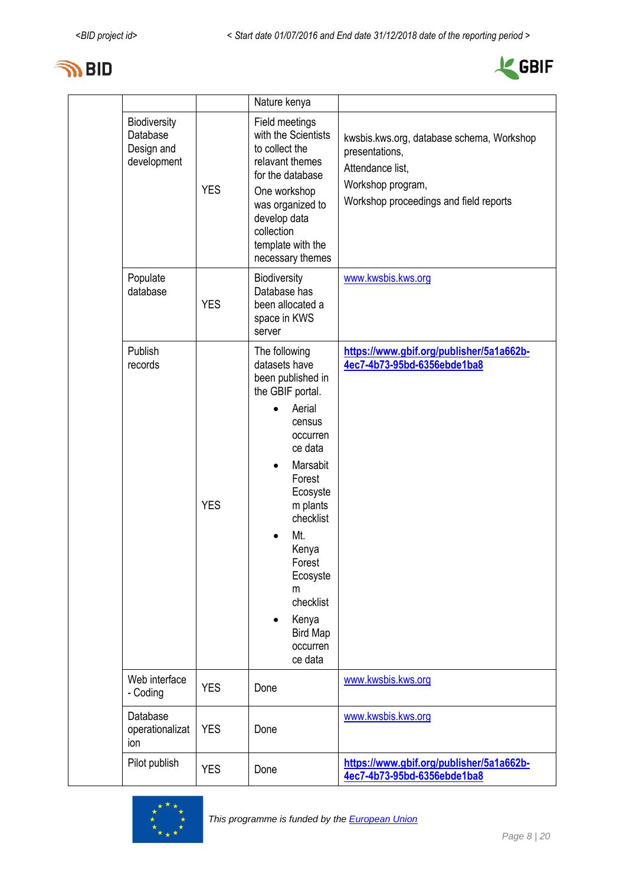



|                                                       |            | Nature kenya                                                                                                                                                                                                                                                                                                       |                                                                                                                                                |
|-------------------------------------------------------|------------|--------------------------------------------------------------------------------------------------------------------------------------------------------------------------------------------------------------------------------------------------------------------------------------------------------------------|------------------------------------------------------------------------------------------------------------------------------------------------|
| Biodiversity<br>Database<br>Design and<br>development | <b>YES</b> | Field meetings<br>with the Scientists<br>to collect the<br>relavant themes<br>for the database<br>One workshop<br>was organized to<br>develop data<br>collection<br>template with the<br>necessary themes                                                                                                          | kwsbis.kws.org, database schema, Workshop<br>presentations,<br>Attendance list,<br>Workshop program,<br>Workshop proceedings and field reports |
| Populate<br>database                                  | <b>YES</b> | Biodiversity<br>Database has<br>been allocated a<br>space in KWS<br>server                                                                                                                                                                                                                                         | www.kwsbis.kws.org                                                                                                                             |
| Publish<br>records                                    | <b>YES</b> | The following<br>datasets have<br>been published in<br>the GBIF portal.<br>Aerial<br>census<br>occurren<br>ce data<br>Marsabit<br>$\bullet$<br>Forest<br>Ecosyste<br>m plants<br>checklist<br>Mt.<br>$\bullet$<br>Kenya<br>Forest<br>Ecosyste<br>m<br>checklist<br>Kenya<br><b>Bird Map</b><br>occurren<br>ce data | https://www.gbif.org/publisher/5a1a662b-<br>4ec7-4b73-95bd-6356ebde1ba8                                                                        |
| Web interface<br>- Coding                             | <b>YES</b> | Done                                                                                                                                                                                                                                                                                                               | www.kwsbis.kws.org                                                                                                                             |
| Database<br>operationalizat<br>ion                    | <b>YES</b> | Done                                                                                                                                                                                                                                                                                                               | www.kwsbis.kws.org                                                                                                                             |
| Pilot publish                                         | <b>YES</b> | Done                                                                                                                                                                                                                                                                                                               | https://www.gbif.org/publisher/5a1a662b-<br>4ec7-4b73-95bd-6356ebde1ba8                                                                        |

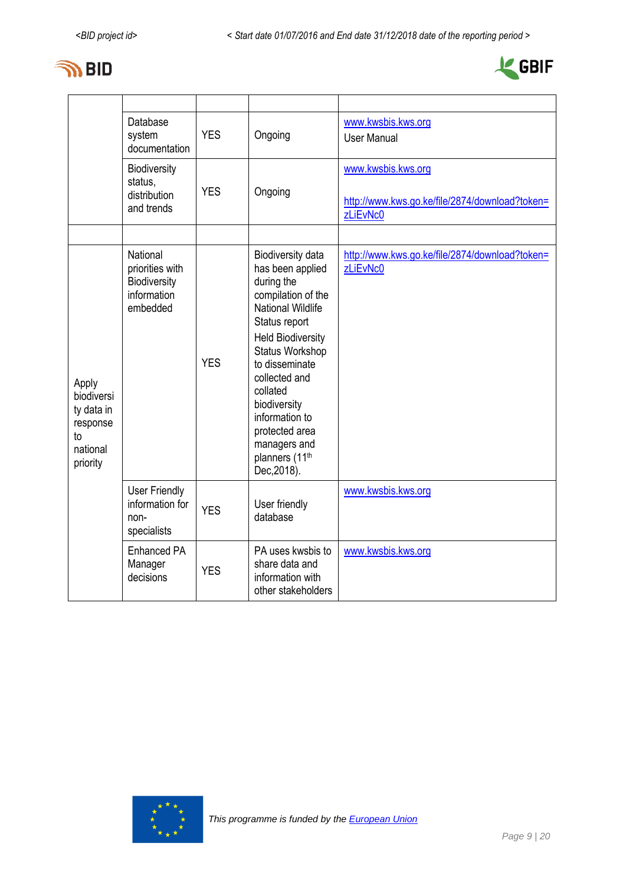



|                                                                             | Database<br>system<br>documentation                                           | <b>YES</b> | Ongoing                                                                                                                                                                                                                                                                                                                               | www.kwsbis.kws.org<br><b>User Manual</b>                                         |
|-----------------------------------------------------------------------------|-------------------------------------------------------------------------------|------------|---------------------------------------------------------------------------------------------------------------------------------------------------------------------------------------------------------------------------------------------------------------------------------------------------------------------------------------|----------------------------------------------------------------------------------|
|                                                                             | Biodiversity<br>status.<br>distribution<br>and trends                         | <b>YES</b> | Ongoing                                                                                                                                                                                                                                                                                                                               | www.kwsbis.kws.org<br>http://www.kws.go.ke/file/2874/download?token=<br>zLiEvNc0 |
|                                                                             |                                                                               |            |                                                                                                                                                                                                                                                                                                                                       |                                                                                  |
| Apply<br>biodiversi<br>ty data in<br>response<br>to<br>national<br>priority | National<br>priorities with<br><b>Biodiversity</b><br>information<br>embedded | <b>YES</b> | Biodiversity data<br>has been applied<br>during the<br>compilation of the<br>National Wildlife<br>Status report<br><b>Held Biodiversity</b><br><b>Status Workshop</b><br>to disseminate<br>collected and<br>collated<br>biodiversity<br>information to<br>protected area<br>managers and<br>planners (11 <sup>th</sup><br>Dec, 2018). | http://www.kws.go.ke/file/2874/download?token=<br>zLiEvNc0                       |
|                                                                             | <b>User Friendly</b><br>information for<br>non-<br>specialists                | <b>YES</b> | User friendly<br>database                                                                                                                                                                                                                                                                                                             | www.kwsbis.kws.org                                                               |
|                                                                             | <b>Enhanced PA</b><br>Manager<br>decisions                                    | <b>YES</b> | PA uses kwsbis to<br>share data and<br>information with<br>other stakeholders                                                                                                                                                                                                                                                         | www.kwsbis.kws.org                                                               |

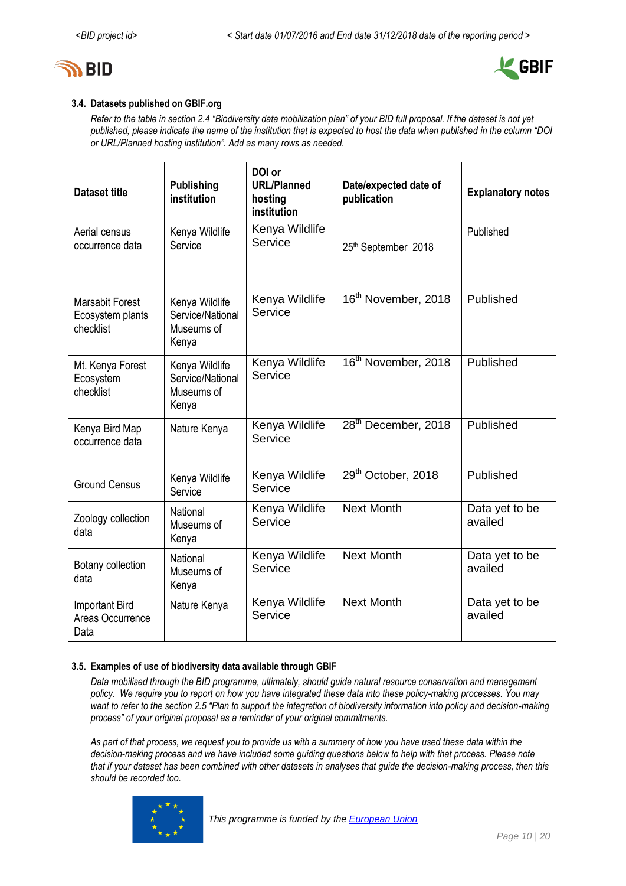



### **3.4. Datasets published on GBIF.org**

*Refer to the table in section 2.4 "Biodiversity data mobilization plan" of your BID full proposal. If the dataset is not yet published, please indicate the name of the institution that is expected to host the data when published in the column "DOI or URL/Planned hosting institution". Add as many rows as needed.*

| <b>Dataset title</b>                                    | <b>Publishing</b><br>institution                          | DOI or<br><b>URL/Planned</b><br>hosting<br>institution | Date/expected date of<br>publication | <b>Explanatory notes</b>  |
|---------------------------------------------------------|-----------------------------------------------------------|--------------------------------------------------------|--------------------------------------|---------------------------|
| Aerial census<br>occurrence data                        | Kenya Wildlife<br>Service                                 | Kenya Wildlife<br>Service                              | 25th September 2018                  | Published                 |
| <b>Marsabit Forest</b><br>Ecosystem plants<br>checklist | Kenya Wildlife<br>Service/National<br>Museums of<br>Kenya | Kenya Wildlife<br>Service                              | 16 <sup>th</sup> November, 2018      | Published                 |
| Mt. Kenya Forest<br>Ecosystem<br>checklist              | Kenya Wildlife<br>Service/National<br>Museums of<br>Kenya | Kenya Wildlife<br>Service                              | 16 <sup>th</sup> November, 2018      | Published                 |
| Kenya Bird Map<br>occurrence data                       | Nature Kenya                                              | Kenya Wildlife<br>Service                              | 28 <sup>th</sup> December, 2018      | Published                 |
| <b>Ground Census</b>                                    | Kenya Wildlife<br>Service                                 | Kenya Wildlife<br>Service                              | 29 <sup>th</sup> October, 2018       | Published                 |
| Zoology collection<br>data                              | National<br>Museums of<br>Kenya                           | Kenya Wildlife<br>Service                              | <b>Next Month</b>                    | Data yet to be<br>availed |
| Botany collection<br>data                               | National<br>Museums of<br>Kenya                           | Kenya Wildlife<br>Service                              | <b>Next Month</b>                    | Data yet to be<br>availed |
| Important Bird<br>Areas Occurrence<br>Data              | Nature Kenya                                              | Kenya Wildlife<br>Service                              | <b>Next Month</b>                    | Data yet to be<br>availed |

#### **3.5. Examples of use of biodiversity data available through GBIF**

*Data mobilised through the BID programme, ultimately, should guide natural resource conservation and management policy. We require you to report on how you have integrated these data into these policy-making processes. You may*  want to refer to the section 2.5 "Plan to support the integration of biodiversity information into policy and decision-making *process" of your original proposal as a reminder of your original commitments.* 

*As part of that process, we request you to provide us with a summary of how you have used these data within the decision-making process and we have included some guiding questions below to help with that process. Please note that if your dataset has been combined with other datasets in analyses that guide the decision-making process, then this should be recorded too.* 

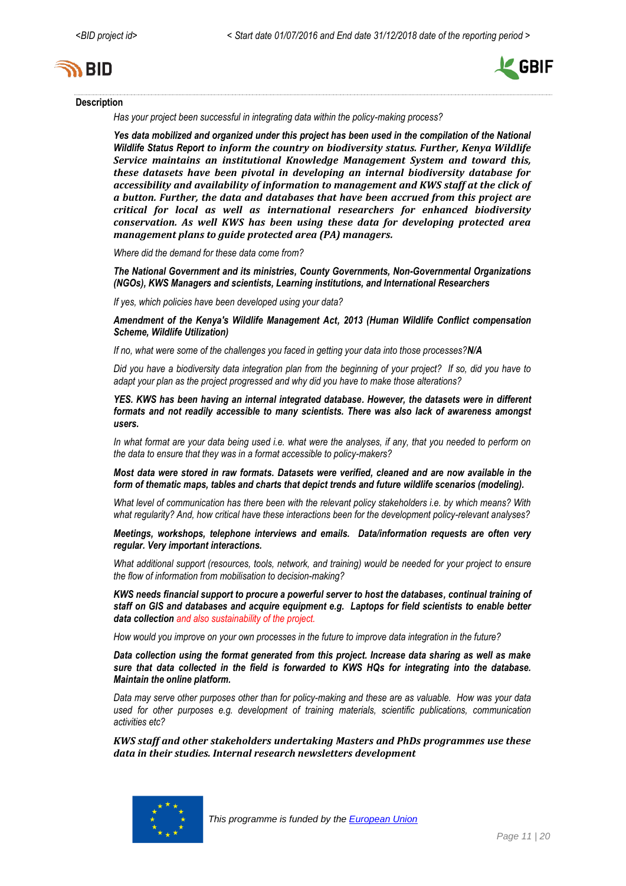



#### **Description**

*Has your project been successful in integrating data within the policy-making process?* 

*Yes data mobilized and organized under this project has been used in the compilation of the National Wildlife Status Report to inform the country on biodiversity status. Further, Kenya Wildlife Service maintains an institutional Knowledge Management System and toward this, these datasets have been pivotal in developing an internal biodiversity database for accessibility and availability of information to management and KWS staff at the click of a button. Further, the data and databases that have been accrued from this project are critical for local as well as international researchers for enhanced biodiversity conservation. As well KWS has been using these data for developing protected area management plans to guide protected area (PA) managers.*

*Where did the demand for these data come from?* 

*The National Government and its ministries, County Governments, Non-Governmental Organizations (NGOs), KWS Managers and scientists, Learning institutions, and International Researchers*

*If yes, which policies have been developed using your data?* 

*Amendment of the Kenya's Wildlife Management Act, 2013 (Human Wildlife Conflict compensation Scheme, Wildlife Utilization)*

*If no, what were some of the challenges you faced in getting your data into those processes?N/A*

*Did you have a biodiversity data integration plan from the beginning of your project? If so, did you have to adapt your plan as the project progressed and why did you have to make those alterations?* 

*YES. KWS has been having an internal integrated database. However, the datasets were in different formats and not readily accessible to many scientists. There was also lack of awareness amongst users.*

*In what format are your data being used i.e. what were the analyses, if any, that you needed to perform on the data to ensure that they was in a format accessible to policy-makers?* 

*Most data were stored in raw formats. Datasets were verified, cleaned and are now available in the form of thematic maps, tables and charts that depict trends and future wildlife scenarios (modeling).*

*What level of communication has there been with the relevant policy stakeholders i.e. by which means? With what regularity? And, how critical have these interactions been for the development policy-relevant analyses?* 

*Meetings, workshops, telephone interviews and emails. Data/information requests are often very regular. Very important interactions.*

*What additional support (resources, tools, network, and training) would be needed for your project to ensure the flow of information from mobilisation to decision-making?* 

*KWS needs financial support to procure a powerful server to host the databases, continual training of staff on GIS and databases and acquire equipment e.g. Laptops for field scientists to enable better data collection and also sustainability of the project.*

*How would you improve on your own processes in the future to improve data integration in the future?* 

*Data collection using the format generated from this project. Increase data sharing as well as make sure that data collected in the field is forwarded to KWS HQs for integrating into the database. Maintain the online platform.*

*Data may serve other purposes other than for policy-making and these are as valuable. How was your data used for other purposes e.g. development of training materials, scientific publications, communication activities etc?*

*KWS staff and other stakeholders undertaking Masters and PhDs programmes use these data in their studies. Internal research newsletters development*

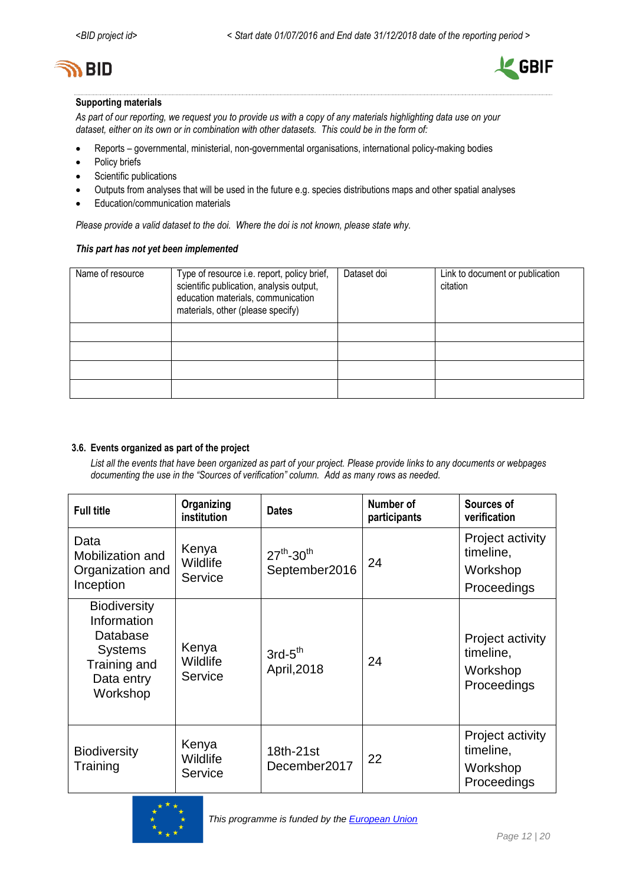



#### **Supporting materials**

*As part of our reporting, we request you to provide us with a copy of any materials highlighting data use on your dataset, either on its own or in combination with other datasets. This could be in the form of:*

- Reports governmental, ministerial, non-governmental organisations, international policy-making bodies
- Policy briefs
- Scientific publications
- Outputs from analyses that will be used in the future e.g. species distributions maps and other spatial analyses
- Education/communication materials

*Please provide a valid dataset to the doi. Where the doi is not known, please state why.*

#### *This part has not yet been implemented*

| Name of resource | Type of resource i.e. report, policy brief,<br>scientific publication, analysis output,<br>education materials, communication<br>materials, other (please specify) | Dataset doi | Link to document or publication<br>citation |
|------------------|--------------------------------------------------------------------------------------------------------------------------------------------------------------------|-------------|---------------------------------------------|
|                  |                                                                                                                                                                    |             |                                             |
|                  |                                                                                                                                                                    |             |                                             |
|                  |                                                                                                                                                                    |             |                                             |
|                  |                                                                                                                                                                    |             |                                             |

#### **3.6. Events organized as part of the project**

*List all the events that have been organized as part of your project. Please provide links to any documents or webpages documenting the use in the "Sources of verification" column. Add as many rows as needed.*

| <b>Full title</b>                                                                                          | Organizing<br>institution    | <b>Dates</b>                                 | Number of<br>participants | Sources of<br>verification                               |
|------------------------------------------------------------------------------------------------------------|------------------------------|----------------------------------------------|---------------------------|----------------------------------------------------------|
| Data<br>Mobilization and<br>Organization and<br>Inception                                                  | Kenya<br>Wildlife<br>Service | $27^{th}$ -30 <sup>th</sup><br>September2016 | 24                        | Project activity<br>timeline,<br>Workshop<br>Proceedings |
| <b>Biodiversity</b><br>Information<br>Database<br><b>Systems</b><br>Training and<br>Data entry<br>Workshop | Kenya<br>Wildlife<br>Service | $3rd-5th$<br>April, 2018                     | 24                        | Project activity<br>timeline,<br>Workshop<br>Proceedings |
| <b>Biodiversity</b><br>Training                                                                            | Kenya<br>Wildlife<br>Service | 18th-21st<br>December2017                    | 22                        | Project activity<br>timeline,<br>Workshop<br>Proceedings |

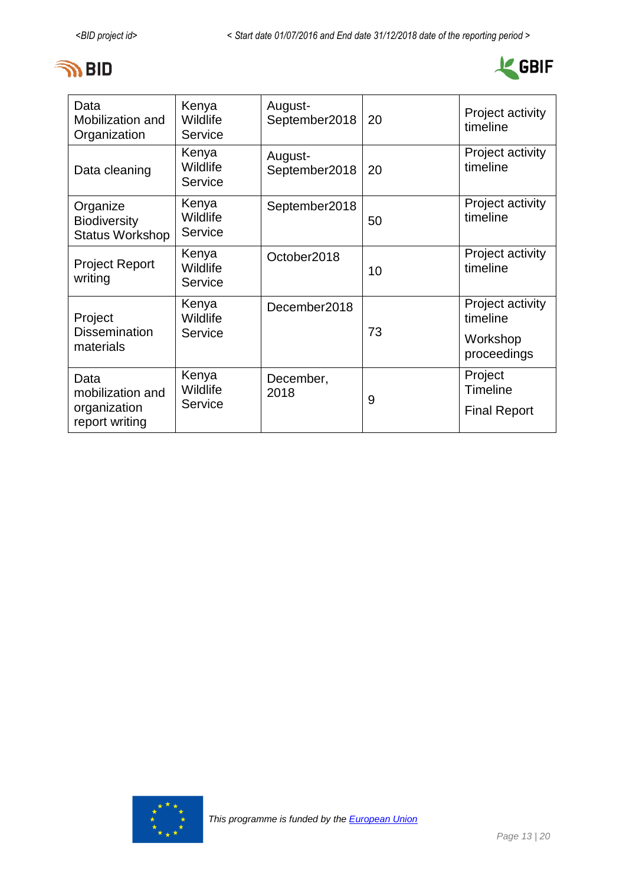



| Data<br>Mobilization and<br>Organization                   | Kenya<br>Wildlife<br>Service | August-<br>September2018 | 20 | Project activity<br>timeline                            |
|------------------------------------------------------------|------------------------------|--------------------------|----|---------------------------------------------------------|
| Data cleaning                                              | Kenya<br>Wildlife<br>Service | August-<br>September2018 | 20 | Project activity<br>timeline                            |
| Organize<br><b>Biodiversity</b><br><b>Status Workshop</b>  | Kenya<br>Wildlife<br>Service | September2018            | 50 | Project activity<br>timeline                            |
| <b>Project Report</b><br>writing                           | Kenya<br>Wildlife<br>Service | October2018              | 10 | Project activity<br>timeline                            |
| Project<br><b>Dissemination</b><br>materials               | Kenya<br>Wildlife<br>Service | December2018             | 73 | Project activity<br>timeline<br>Workshop<br>proceedings |
| Data<br>mobilization and<br>organization<br>report writing | Kenya<br>Wildlife<br>Service | December,<br>2018        | 9  | Project<br><b>Timeline</b><br><b>Final Report</b>       |

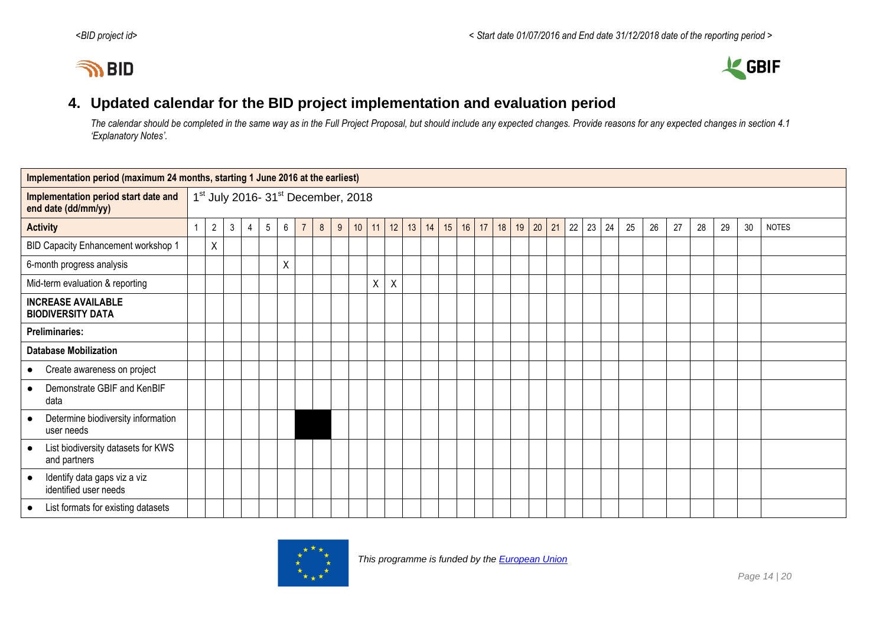



## <span id="page-13-0"></span>**4. Updated calendar for the BID project implementation and evaluation period**

*The calendar should be completed in the same way as in the Full Project Proposal, but should include any expected changes. Provide reasons for any expected changes in section 4.1 'Explanatory Notes'.*

| Implementation period (maximum 24 months, starting 1 June 2016 at the earliest) |  |                |              |   |                 |   |                |                |                                                            |    |    |                           |    |    |    |    |    |    |       |    |              |    |    |    |    |    |    |    |              |
|---------------------------------------------------------------------------------|--|----------------|--------------|---|-----------------|---|----------------|----------------|------------------------------------------------------------|----|----|---------------------------|----|----|----|----|----|----|-------|----|--------------|----|----|----|----|----|----|----|--------------|
| Implementation period start date and<br>end date (dd/mm/yy)                     |  |                |              |   |                 |   |                |                | 1 <sup>st</sup> July 2016- 31 <sup>st</sup> December, 2018 |    |    |                           |    |    |    |    |    |    |       |    |              |    |    |    |    |    |    |    |              |
| <b>Activity</b>                                                                 |  | $\overline{2}$ | $\mathbf{3}$ | 4 | $5\overline{)}$ | 6 | $\overline{7}$ | 8 <sup>°</sup> | 9                                                          | 10 | 11 | 12                        | 13 | 14 | 15 | 16 | 17 | 18 | 19 20 | 21 | $22 \mid 23$ | 24 | 25 | 26 | 27 | 28 | 29 | 30 | <b>NOTES</b> |
| BID Capacity Enhancement workshop 1                                             |  | X              |              |   |                 |   |                |                |                                                            |    |    |                           |    |    |    |    |    |    |       |    |              |    |    |    |    |    |    |    |              |
| 6-month progress analysis                                                       |  |                |              |   |                 | Χ |                |                |                                                            |    |    |                           |    |    |    |    |    |    |       |    |              |    |    |    |    |    |    |    |              |
| Mid-term evaluation & reporting                                                 |  |                |              |   |                 |   |                |                |                                                            |    | X  | $\boldsymbol{\mathsf{X}}$ |    |    |    |    |    |    |       |    |              |    |    |    |    |    |    |    |              |
| <b>INCREASE AVAILABLE</b><br><b>BIODIVERSITY DATA</b>                           |  |                |              |   |                 |   |                |                |                                                            |    |    |                           |    |    |    |    |    |    |       |    |              |    |    |    |    |    |    |    |              |
| <b>Preliminaries:</b>                                                           |  |                |              |   |                 |   |                |                |                                                            |    |    |                           |    |    |    |    |    |    |       |    |              |    |    |    |    |    |    |    |              |
| <b>Database Mobilization</b>                                                    |  |                |              |   |                 |   |                |                |                                                            |    |    |                           |    |    |    |    |    |    |       |    |              |    |    |    |    |    |    |    |              |
| Create awareness on project<br>$\bullet$                                        |  |                |              |   |                 |   |                |                |                                                            |    |    |                           |    |    |    |    |    |    |       |    |              |    |    |    |    |    |    |    |              |
| Demonstrate GBIF and KenBIF<br>$\bullet$<br>data                                |  |                |              |   |                 |   |                |                |                                                            |    |    |                           |    |    |    |    |    |    |       |    |              |    |    |    |    |    |    |    |              |
| Determine biodiversity information<br>$\bullet$<br>user needs                   |  |                |              |   |                 |   |                |                |                                                            |    |    |                           |    |    |    |    |    |    |       |    |              |    |    |    |    |    |    |    |              |
| List biodiversity datasets for KWS<br>$\bullet$<br>and partners                 |  |                |              |   |                 |   |                |                |                                                            |    |    |                           |    |    |    |    |    |    |       |    |              |    |    |    |    |    |    |    |              |
| Identify data gaps viz a viz<br>$\bullet$<br>identified user needs              |  |                |              |   |                 |   |                |                |                                                            |    |    |                           |    |    |    |    |    |    |       |    |              |    |    |    |    |    |    |    |              |
| List formats for existing datasets<br>$\bullet$                                 |  |                |              |   |                 |   |                |                |                                                            |    |    |                           |    |    |    |    |    |    |       |    |              |    |    |    |    |    |    |    |              |

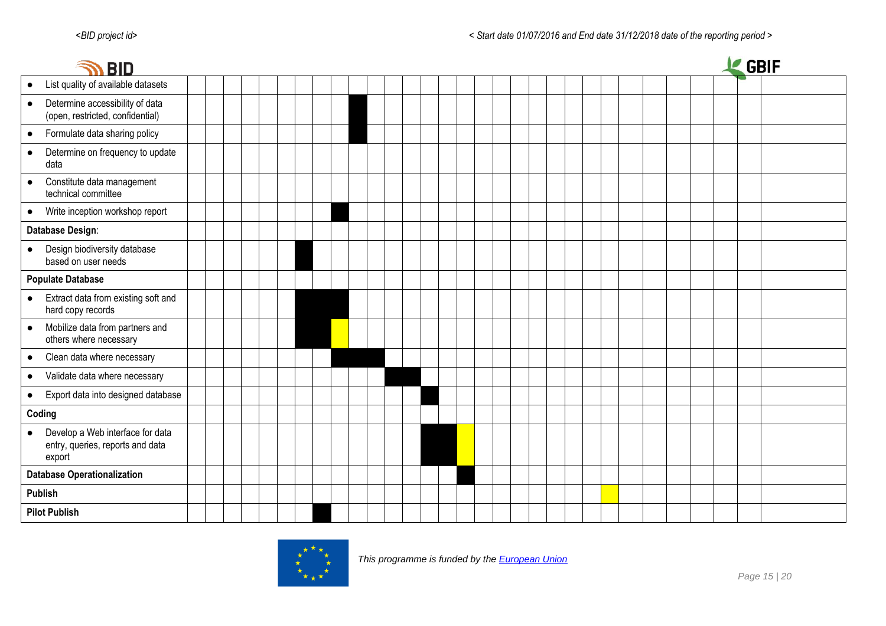| <b>BID</b>                                                                                  |  |  |  |  |  |  |  |  |  |  |  |  |  |  | <b>GBIF</b> |  |
|---------------------------------------------------------------------------------------------|--|--|--|--|--|--|--|--|--|--|--|--|--|--|-------------|--|
| List quality of available datasets<br>$\bullet$                                             |  |  |  |  |  |  |  |  |  |  |  |  |  |  |             |  |
| Determine accessibility of data<br>$\bullet$<br>(open, restricted, confidential)            |  |  |  |  |  |  |  |  |  |  |  |  |  |  |             |  |
| Formulate data sharing policy<br>$\bullet$                                                  |  |  |  |  |  |  |  |  |  |  |  |  |  |  |             |  |
| Determine on frequency to update<br>$\bullet$<br>data                                       |  |  |  |  |  |  |  |  |  |  |  |  |  |  |             |  |
| Constitute data management<br>$\bullet$<br>technical committee                              |  |  |  |  |  |  |  |  |  |  |  |  |  |  |             |  |
| Write inception workshop report<br>$\bullet$                                                |  |  |  |  |  |  |  |  |  |  |  |  |  |  |             |  |
| Database Design:                                                                            |  |  |  |  |  |  |  |  |  |  |  |  |  |  |             |  |
| Design biodiversity database<br>based on user needs                                         |  |  |  |  |  |  |  |  |  |  |  |  |  |  |             |  |
| <b>Populate Database</b>                                                                    |  |  |  |  |  |  |  |  |  |  |  |  |  |  |             |  |
| Extract data from existing soft and<br>hard copy records                                    |  |  |  |  |  |  |  |  |  |  |  |  |  |  |             |  |
| Mobilize data from partners and<br>$\bullet$<br>others where necessary                      |  |  |  |  |  |  |  |  |  |  |  |  |  |  |             |  |
| Clean data where necessary<br>$\bullet$                                                     |  |  |  |  |  |  |  |  |  |  |  |  |  |  |             |  |
| Validate data where necessary<br>$\bullet$                                                  |  |  |  |  |  |  |  |  |  |  |  |  |  |  |             |  |
| Export data into designed database<br>$\bullet$                                             |  |  |  |  |  |  |  |  |  |  |  |  |  |  |             |  |
| Coding                                                                                      |  |  |  |  |  |  |  |  |  |  |  |  |  |  |             |  |
| Develop a Web interface for data<br>$\bullet$<br>entry, queries, reports and data<br>export |  |  |  |  |  |  |  |  |  |  |  |  |  |  |             |  |
| <b>Database Operationalization</b>                                                          |  |  |  |  |  |  |  |  |  |  |  |  |  |  |             |  |
| <b>Publish</b>                                                                              |  |  |  |  |  |  |  |  |  |  |  |  |  |  |             |  |
| <b>Pilot Publish</b>                                                                        |  |  |  |  |  |  |  |  |  |  |  |  |  |  |             |  |

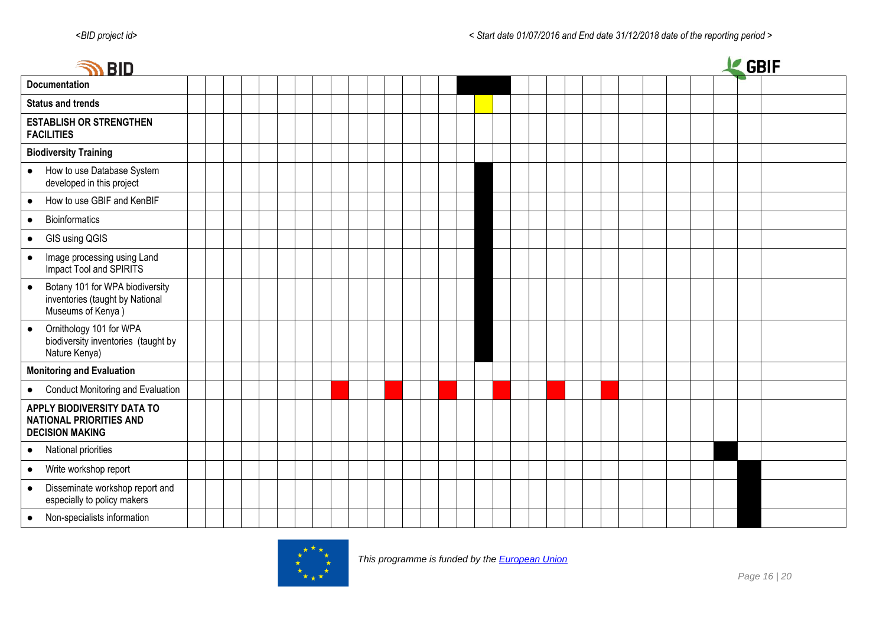| <b>IN BID</b>                                                                                        |  |  |  |  |  |  |  |  |  |  |  | LE GBIF |  |
|------------------------------------------------------------------------------------------------------|--|--|--|--|--|--|--|--|--|--|--|---------|--|
| <b>Documentation</b>                                                                                 |  |  |  |  |  |  |  |  |  |  |  |         |  |
| <b>Status and trends</b>                                                                             |  |  |  |  |  |  |  |  |  |  |  |         |  |
| <b>ESTABLISH OR STRENGTHEN</b><br><b>FACILITIES</b>                                                  |  |  |  |  |  |  |  |  |  |  |  |         |  |
| <b>Biodiversity Training</b>                                                                         |  |  |  |  |  |  |  |  |  |  |  |         |  |
| How to use Database System<br>$\bullet$<br>developed in this project                                 |  |  |  |  |  |  |  |  |  |  |  |         |  |
| How to use GBIF and KenBIF<br>$\bullet$                                                              |  |  |  |  |  |  |  |  |  |  |  |         |  |
| <b>Bioinformatics</b><br>$\bullet$                                                                   |  |  |  |  |  |  |  |  |  |  |  |         |  |
| GIS using QGIS<br>$\bullet$                                                                          |  |  |  |  |  |  |  |  |  |  |  |         |  |
| Image processing using Land<br>$\bullet$<br>Impact Tool and SPIRITS                                  |  |  |  |  |  |  |  |  |  |  |  |         |  |
| Botany 101 for WPA biodiversity<br>$\bullet$<br>inventories (taught by National<br>Museums of Kenya) |  |  |  |  |  |  |  |  |  |  |  |         |  |
| Ornithology 101 for WPA<br>$\bullet$<br>biodiversity inventories (taught by<br>Nature Kenya)         |  |  |  |  |  |  |  |  |  |  |  |         |  |
| <b>Monitoring and Evaluation</b>                                                                     |  |  |  |  |  |  |  |  |  |  |  |         |  |
| • Conduct Monitoring and Evaluation                                                                  |  |  |  |  |  |  |  |  |  |  |  |         |  |
| APPLY BIODIVERSITY DATA TO<br><b>NATIONAL PRIORITIES AND</b><br><b>DECISION MAKING</b>               |  |  |  |  |  |  |  |  |  |  |  |         |  |
| • National priorities                                                                                |  |  |  |  |  |  |  |  |  |  |  |         |  |
| Write workshop report<br>$\bullet$                                                                   |  |  |  |  |  |  |  |  |  |  |  |         |  |
| Disseminate workshop report and<br>$\bullet$<br>especially to policy makers                          |  |  |  |  |  |  |  |  |  |  |  |         |  |
| Non-specialists information<br>$\bullet$                                                             |  |  |  |  |  |  |  |  |  |  |  |         |  |

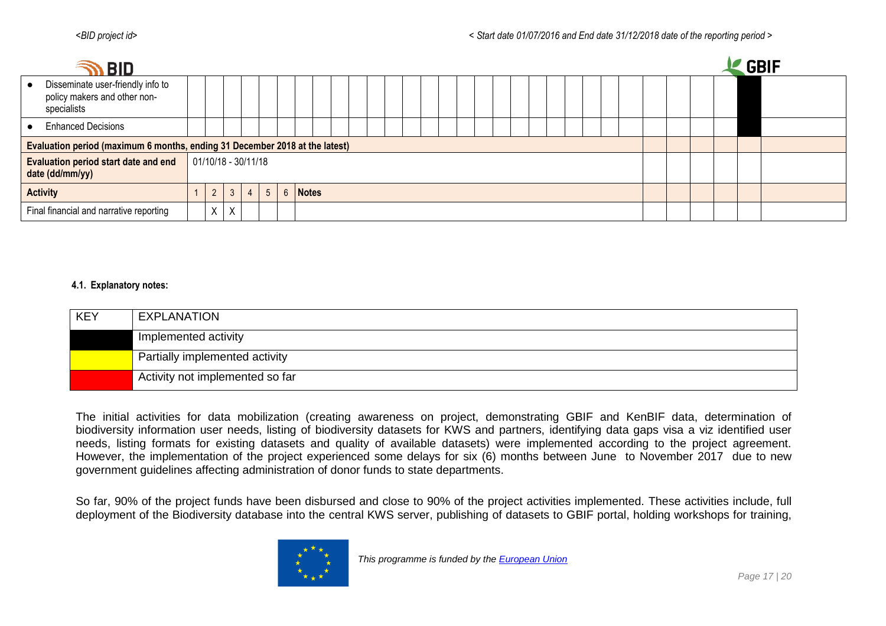|           | <b>SO BID</b>                                                                    |             |                       |                |                |         |  |  |  |  |  |  |  |  |  |  |  |  | <b>GBIF</b> |  |
|-----------|----------------------------------------------------------------------------------|-------------|-----------------------|----------------|----------------|---------|--|--|--|--|--|--|--|--|--|--|--|--|-------------|--|
| $\bullet$ | Disseminate user-friendly info to<br>policy makers and other non-<br>specialists |             |                       |                |                |         |  |  |  |  |  |  |  |  |  |  |  |  |             |  |
|           | • Enhanced Decisions                                                             |             |                       |                |                |         |  |  |  |  |  |  |  |  |  |  |  |  |             |  |
|           | Evaluation period (maximum 6 months, ending 31 December 2018 at the latest)      |             |                       |                |                |         |  |  |  |  |  |  |  |  |  |  |  |  |             |  |
|           | <b>Evaluation period start date and end</b><br>date (dd/mm/yy)                   |             | $01/10/18 - 30/11/18$ |                |                |         |  |  |  |  |  |  |  |  |  |  |  |  |             |  |
|           | <b>Activity</b>                                                                  | $2^{\circ}$ | 3 <sub>1</sub>        | $\overline{4}$ | 5 <sup>5</sup> | 6 Notes |  |  |  |  |  |  |  |  |  |  |  |  |             |  |
|           | Final financial and narrative reporting                                          | Χ           | X                     |                |                |         |  |  |  |  |  |  |  |  |  |  |  |  |             |  |

#### **4.1. Explanatory notes:**

| <b>KEY</b> | EXPLANATION                     |
|------------|---------------------------------|
|            | Implemented activity            |
|            | Partially implemented activity  |
|            | Activity not implemented so far |

The initial activities for data mobilization (creating awareness on project, demonstrating GBIF and KenBIF data, determination of biodiversity information user needs, listing of biodiversity datasets for KWS and partners, identifying data gaps visa a viz identified user needs, listing formats for existing datasets and quality of available datasets) were implemented according to the project agreement. However, the implementation of the project experienced some delays for six (6) months between June to November 2017 due to new government guidelines affecting administration of donor funds to state departments.

So far, 90% of the project funds have been disbursed and close to 90% of the project activities implemented. These activities include, full deployment of the Biodiversity database into the central KWS server, publishing of datasets to GBIF portal, holding workshops for training,

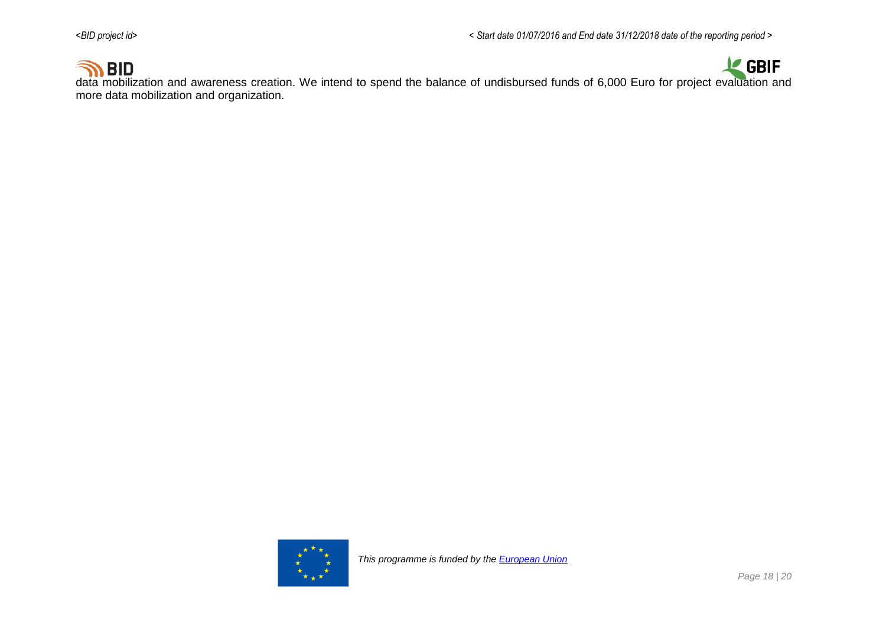

**OD BID**<br>data mobilization and awareness creation. We intend to spend the balance of undisbursed funds of 6,000 Euro for project evaluation and more data mobilization and organization.

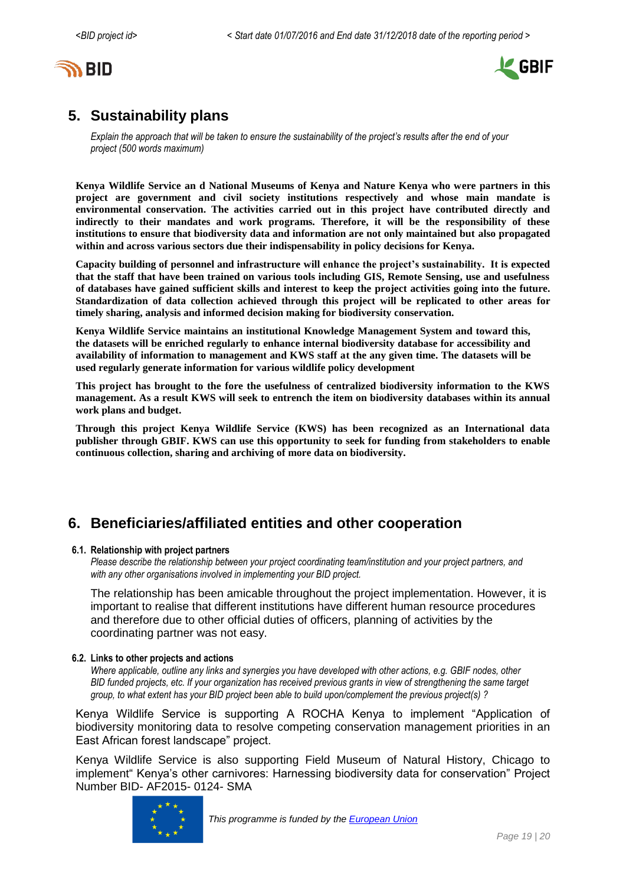<span id="page-18-0"></span>



# **5. Sustainability plans**

*Explain the approach that will be taken to ensure the sustainability of the project's results after the end of your project (500 words maximum)*

**Kenya Wildlife Service an d National Museums of Kenya and Nature Kenya who were partners in this project are government and civil society institutions respectively and whose main mandate is environmental conservation. The activities carried out in this project have contributed directly and indirectly to their mandates and work programs. Therefore, it will be the responsibility of these institutions to ensure that biodiversity data and information are not only maintained but also propagated within and across various sectors due their indispensability in policy decisions for Kenya.** 

<span id="page-18-1"></span>**Capacity building of personnel and infrastructure will enhance the project's sustainability. It is expected that the staff that have been trained on various tools including GIS, Remote Sensing, use and usefulness of databases have gained sufficient skills and interest to keep the project activities going into the future. Standardization of data collection achieved through this project will be replicated to other areas for timely sharing, analysis and informed decision making for biodiversity conservation.**

**Kenya Wildlife Service maintains an institutional Knowledge Management System and toward this, the datasets will be enriched regularly to enhance internal biodiversity database for accessibility and availability of information to management and KWS staff at the any given time. The datasets will be used regularly generate information for various wildlife policy development**

**This project has brought to the fore the usefulness of centralized biodiversity information to the KWS management. As a result KWS will seek to entrench the item on biodiversity databases within its annual work plans and budget.** 

**Through this project Kenya Wildlife Service (KWS) has been recognized as an International data publisher through GBIF. KWS can use this opportunity to seek for funding from stakeholders to enable continuous collection, sharing and archiving of more data on biodiversity.**

# **6. Beneficiaries/affiliated entities and other cooperation**

#### **6.1. Relationship with project partners**

*Please describe the relationship between your project coordinating team/institution and your project partners, and with any other organisations involved in implementing your BID project.*

The relationship has been amicable throughout the project implementation. However, it is important to realise that different institutions have different human resource procedures and therefore due to other official duties of officers, planning of activities by the coordinating partner was not easy.

#### **6.2. Links to other projects and actions**

*Where applicable, outline any links and synergies you have developed with other actions, e.g. GBIF nodes, other BID funded projects, etc. If your organization has received previous grants in view of strengthening the same target group, to what extent has your BID project been able to build upon/complement the previous project(s) ?*

Kenya Wildlife Service is supporting A ROCHA Kenya to implement "Application of biodiversity monitoring data to resolve competing conservation management priorities in an East African forest landscape" project.

Kenya Wildlife Service is also supporting Field Museum of Natural History, Chicago to implement" Kenya's other carnivores: Harnessing biodiversity data for conservation" Project Number BID- AF2015- 0124- SMA